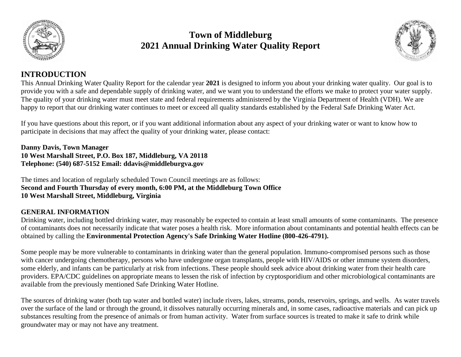

# **Town of Middleburg 2021 Annual Drinking Water Quality Report**



## **INTRODUCTION**

This Annual Drinking Water Quality Report for the calendar year **2021** is designed to inform you about your drinking water quality. Our goal is to provide you with a safe and dependable supply of drinking water, and we want you to understand the efforts we make to protect your water supply. The quality of your drinking water must meet state and federal requirements administered by the Virginia Department of Health (VDH). We are happy to report that our drinking water continues to meet or exceed all quality standards established by the Federal Safe Drinking Water Act.

If you have questions about this report, or if you want additional information about any aspect of your drinking water or want to know how to participate in decisions that may affect the quality of your drinking water, please contact:

**Danny Davis, Town Manager 10 West Marshall Street, P.O. Box 187, Middleburg, VA 20118 Telephone: (540) 687-5152 Email: ddavis@middleburgva.gov**

The times and location of regularly scheduled Town Council meetings are as follows: **Second and Fourth Thursday of every month, 6:00 PM, at the Middleburg Town Office 10 West Marshall Street, Middleburg, Virginia**

## **GENERAL INFORMATION**

Drinking water, including bottled drinking water, may reasonably be expected to contain at least small amounts of some contaminants. The presence of contaminants does not necessarily indicate that water poses a health risk. More information about contaminants and potential health effects can be obtained by calling the **Environmental Protection Agency's Safe Drinking Water Hotline (800-426-4791).**

Some people may be more vulnerable to contaminants in drinking water than the general population. Immuno-compromised persons such as those with cancer undergoing chemotherapy, persons who have undergone organ transplants, people with HIV/AIDS or other immune system disorders, some elderly, and infants can be particularly at risk from infections. These people should seek advice about drinking water from their health care providers. EPA/CDC guidelines on appropriate means to lessen the risk of infection by cryptosporidium and other microbiological contaminants are available from the previously mentioned Safe Drinking Water Hotline.

The sources of drinking water (both tap water and bottled water) include rivers, lakes, streams, ponds, reservoirs, springs, and wells. As water travels over the surface of the land or through the ground, it dissolves naturally occurring minerals and, in some cases, radioactive materials and can pick up substances resulting from the presence of animals or from human activity. Water from surface sources is treated to make it safe to drink while groundwater may or may not have any treatment.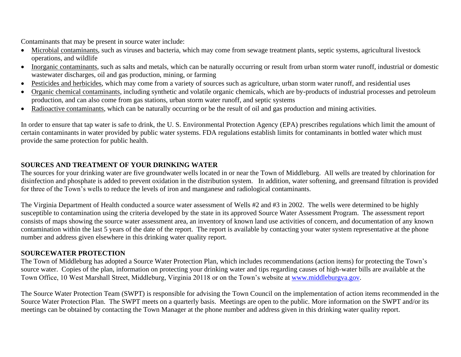Contaminants that may be present in source water include:

- Microbial contaminants, such as viruses and bacteria, which may come from sewage treatment plants, septic systems, agricultural livestock operations, and wildlife
- Inorganic contaminants, such as salts and metals, which can be naturally occurring or result from urban storm water runoff, industrial or domestic wastewater discharges, oil and gas production, mining, or farming
- Pesticides and herbicides, which may come from a variety of sources such as agriculture, urban storm water runoff, and residential uses
- Organic chemical contaminants, including synthetic and volatile organic chemicals, which are by-products of industrial processes and petroleum production, and can also come from gas stations, urban storm water runoff, and septic systems
- Radioactive contaminants, which can be naturally occurring or be the result of oil and gas production and mining activities.

In order to ensure that tap water is safe to drink, the U. S. Environmental Protection Agency (EPA) prescribes regulations which limit the amount of certain contaminants in water provided by public water systems. FDA regulations establish limits for contaminants in bottled water which must provide the same protection for public health.

### **SOURCES AND TREATMENT OF YOUR DRINKING WATER**

The sources for your drinking water are five groundwater wells located in or near the Town of Middleburg. All wells are treated by chlorination for disinfection and phosphate is added to prevent oxidation in the distribution system. In addition, water softening, and greensand filtration is provided for three of the Town's wells to reduce the levels of iron and manganese and radiological contaminants.

The Virginia Department of Health conducted a source water assessment of Wells #2 and #3 in 2002. The wells were determined to be highly susceptible to contamination using the criteria developed by the state in its approved Source Water Assessment Program. The assessment report consists of maps showing the source water assessment area, an inventory of known land use activities of concern, and documentation of any known contamination within the last 5 years of the date of the report. The report is available by contacting your water system representative at the phone number and address given elsewhere in this drinking water quality report.

#### **SOURCEWATER PROTECTION**

The Town of Middleburg has adopted a Source Water Protection Plan, which includes recommendations (action items) for protecting the Town's source water. Copies of the plan, information on protecting your drinking water and tips regarding causes of high-water bills are available at the Town Office, 10 West Marshall Street, Middleburg, Virginia 20118 or on the Town's website at [www.middleburgva.gov.](http://www.middleburgva.gov/)

The Source Water Protection Team (SWPT) is responsible for advising the Town Council on the implementation of action items recommended in the Source Water Protection Plan. The SWPT meets on a quarterly basis. Meetings are open to the public. More information on the SWPT and/or its meetings can be obtained by contacting the Town Manager at the phone number and address given in this drinking water quality report.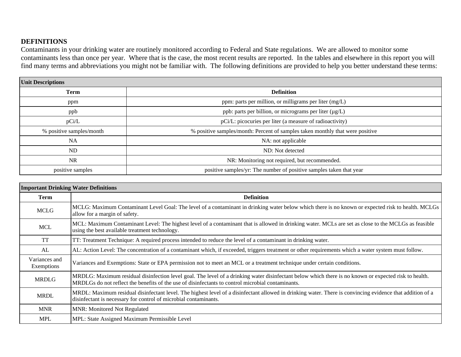#### **DEFINITIONS**

Contaminants in your drinking water are routinely monitored according to Federal and State regulations. We are allowed to monitor some contaminants less than once per year. Where that is the case, the most recent results are reported. In the tables and elsewhere in this report you will find many terms and abbreviations you might not be familiar with. The following definitions are provided to help you better understand these terms:

| <b>Unit Descriptions</b> |                                                                               |  |  |  |  |  |  |  |
|--------------------------|-------------------------------------------------------------------------------|--|--|--|--|--|--|--|
| <b>Term</b>              | <b>Definition</b>                                                             |  |  |  |  |  |  |  |
| ppm                      | ppm: parts per million, or milligrams per liter (mg/L)                        |  |  |  |  |  |  |  |
| ppb                      | ppb: parts per billion, or micrograms per liter (µg/L)                        |  |  |  |  |  |  |  |
| pCi/L                    | pCi/L: picocuries per liter (a measure of radioactivity)                      |  |  |  |  |  |  |  |
| % positive samples/month | % positive samples/month: Percent of samples taken monthly that were positive |  |  |  |  |  |  |  |
| NA                       | NA: not applicable                                                            |  |  |  |  |  |  |  |
| N <sub>D</sub>           | ND: Not detected                                                              |  |  |  |  |  |  |  |
| NR.                      | NR: Monitoring not required, but recommended.                                 |  |  |  |  |  |  |  |
| positive samples         | positive samples/yr: The number of positive samples taken that year           |  |  |  |  |  |  |  |

| <b>Important Drinking Water Definitions</b> |                                                                                                                                                                                                                                                            |  |  |  |  |  |  |
|---------------------------------------------|------------------------------------------------------------------------------------------------------------------------------------------------------------------------------------------------------------------------------------------------------------|--|--|--|--|--|--|
| <b>Term</b>                                 | <b>Definition</b>                                                                                                                                                                                                                                          |  |  |  |  |  |  |
| <b>MCLG</b>                                 | MCLG: Maximum Contaminant Level Goal: The level of a contaminant in drinking water below which there is no known or expected risk to health. MCLGs<br>allow for a margin of safety.                                                                        |  |  |  |  |  |  |
| <b>MCL</b>                                  | MCL: Maximum Contaminant Level: The highest level of a contaminant that is allowed in drinking water. MCLs are set as close to the MCLGs as feasible<br>using the best available treatment technology.                                                     |  |  |  |  |  |  |
| <b>TT</b>                                   | TT: Treatment Technique: A required process intended to reduce the level of a contaminant in drinking water.                                                                                                                                               |  |  |  |  |  |  |
| AL                                          | AL: Action Level: The concentration of a contaminant which, if exceeded, triggers treatment or other requirements which a water system must follow.                                                                                                        |  |  |  |  |  |  |
| Variances and<br>Exemptions                 | Variances and Exemptions: State or EPA permission not to meet an MCL or a treatment technique under certain conditions.                                                                                                                                    |  |  |  |  |  |  |
| <b>MRDLG</b>                                | MRDLG: Maximum residual disinfection level goal. The level of a drinking water disinfectant below which there is no known or expected risk to health.<br>MRDLGs do not reflect the benefits of the use of disinfectants to control microbial contaminants. |  |  |  |  |  |  |
| <b>MRDL</b>                                 | MRDL: Maximum residual disinfectant level. The highest level of a disinfectant allowed in drinking water. There is convincing evidence that addition of a<br>disinfectant is necessary for control of microbial contaminants.                              |  |  |  |  |  |  |
| <b>MNR</b>                                  | <b>MNR: Monitored Not Regulated</b>                                                                                                                                                                                                                        |  |  |  |  |  |  |
| <b>MPL</b>                                  | MPL: State Assigned Maximum Permissible Level                                                                                                                                                                                                              |  |  |  |  |  |  |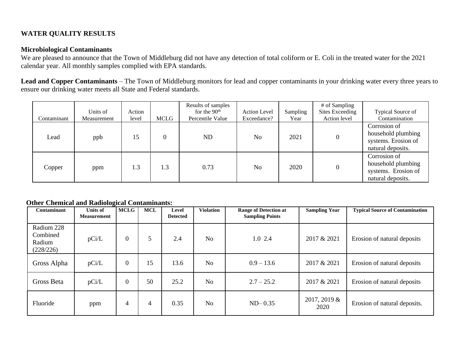## **WATER QUALITY RESULTS**

#### **Microbiological Contaminants**

We are pleased to announce that the Town of Middleburg did not have any detection of total coliform or E. Coli in the treated water for the 2021 calendar year. All monthly samples complied with EPA standards.

**Lead and Copper Contaminants** – The Town of Middleburg monitors for lead and copper contaminants in your drinking water every three years to ensure our drinking water meets all State and Federal standards.

| Contaminant | Units of<br>Measurement | Action<br>level | MCLG | Results of samples<br>for the $90th$<br>Percentile Value | Action Level<br>Exceedance? | Sampling<br>Year | # of Sampling<br><b>Sites Exceeding</b><br>Action level | Typical Source of<br>Contamination                                             |
|-------------|-------------------------|-----------------|------|----------------------------------------------------------|-----------------------------|------------------|---------------------------------------------------------|--------------------------------------------------------------------------------|
| Lead        | ppb                     | 15              |      | <b>ND</b>                                                | N <sub>0</sub>              | 2021             | $\overline{0}$                                          | Corrosion of<br>household plumbing<br>systems. Erosion of<br>natural deposits. |
| Copper      | ppm                     | 1.3             | 1.3  | 0.73                                                     | N <sub>0</sub>              | 2020             | $\overline{0}$                                          | Corrosion of<br>household plumbing<br>systems. Erosion of<br>natural deposits. |

#### **Other Chemical and Radiological Contaminants:**

| Contaminant                                   | ັ<br><b>Units of</b><br><b>Measurement</b> | <b>MCLG</b>      | <b>MCL</b> | Level<br><b>Detected</b> | <b>Violation</b> | <b>Range of Detection at</b><br><b>Sampling Points</b> | <b>Sampling Year</b>    | <b>Typical Source of Contamination</b> |
|-----------------------------------------------|--------------------------------------------|------------------|------------|--------------------------|------------------|--------------------------------------------------------|-------------------------|----------------------------------------|
| Radium 228<br>Combined<br>Radium<br>(228/226) | pCi/L                                      | $\boldsymbol{0}$ | 5          | 2.4                      | N <sub>o</sub>   | 1.0 2.4                                                | 2017 & 2021             | Erosion of natural deposits            |
| Gross Alpha                                   | pCi/L                                      | $\mathbf{0}$     | 15         | 13.6                     | N <sub>o</sub>   | $0.9 - 13.6$                                           | 2017 & 2021             | Erosion of natural deposits            |
| Gross Beta                                    | pCi/L                                      | $\mathbf{0}$     | 50         | 25.2                     | N <sub>o</sub>   | $2.7 - 25.2$                                           | 2017 & 2021             | Erosion of natural deposits            |
| Fluoride                                      | ppm                                        | 4                | 4          | 0.35                     | N <sub>o</sub>   | $ND-0.35$                                              | $2017, 2019 \&$<br>2020 | Erosion of natural deposits.           |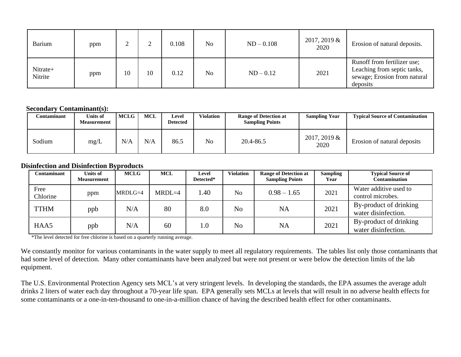| <b>Barium</b>       | ppm |    |    | 0.108 | N <sub>o</sub> | $ND - 0.108$ | $2017, 2019 \&$<br>2020 | Erosion of natural deposits.                                                                           |
|---------------------|-----|----|----|-------|----------------|--------------|-------------------------|--------------------------------------------------------------------------------------------------------|
| Nitrate+<br>Nitrite | ppm | 10 | 10 | 0.12  | N <sub>0</sub> | $ND - 0.12$  | 2021                    | Runoff from fertilizer use;<br>Leaching from septic tanks,<br>sewage; Erosion from natural<br>deposits |

#### **Secondary Contaminant(s):**

| C <b>ontaminant</b> | Units of<br><b>Measurement</b> | <b>MCLG</b> | <b>MCL</b> | Level<br>Detected | <b>Violation</b> | <b>Range of Detection at</b><br><b>Sampling Points</b> | <b>Sampling Year</b>    | <b>Typical Source of Contamination</b> |
|---------------------|--------------------------------|-------------|------------|-------------------|------------------|--------------------------------------------------------|-------------------------|----------------------------------------|
| Sodium              | mg/L                           | N/A         | N/A        | 86.5              | No               | 20.4-86.5                                              | $2017, 2019 \&$<br>2020 | Erosion of natural deposits            |

#### **Disinfection and Disinfection Byproducts**

| Contaminant      | Units of<br>Measurement | ~ ⊥<br><b>MCLG</b> | <b>MCL</b> | Level<br>Detected* | <b>Violation</b> | <b>Range of Detection at</b><br><b>Sampling Points</b> | <b>Sampling</b><br>Year | <b>Typical Source of</b><br><b>Contamination</b> |
|------------------|-------------------------|--------------------|------------|--------------------|------------------|--------------------------------------------------------|-------------------------|--------------------------------------------------|
| Free<br>Chlorine | ppm                     | $MRDLG=4$          | $MRDL=4$   | 1.40               | N <sub>o</sub>   | $0.98 - 1.65$                                          | 2021                    | Water additive used to<br>control microbes.      |
| <b>TTHM</b>      | ppb                     | N/A                | 80         | 8.0                | N <sub>o</sub>   | NA                                                     | 2021                    | By-product of drinking<br>water disinfection.    |
| HAA5             | ppb                     | N/A                | 60         | 1.0                | N <sub>o</sub>   | <b>NA</b>                                              | 2021                    | By-product of drinking<br>water disinfection.    |

\*The level detected for free chlorine is based on a quarterly running average.

We constantly monitor for various contaminants in the water supply to meet all regulatory requirements. The tables list only those contaminants that had some level of detection. Many other contaminants have been analyzed but were not present or were below the detection limits of the lab equipment.

The U.S. Environmental Protection Agency sets MCL's at very stringent levels. In developing the standards, the EPA assumes the average adult drinks 2 liters of water each day throughout a 70-year life span. EPA generally sets MCLs at levels that will result in no adverse health effects for some contaminants or a one-in-ten-thousand to one-in-a-million chance of having the described health effect for other contaminants.